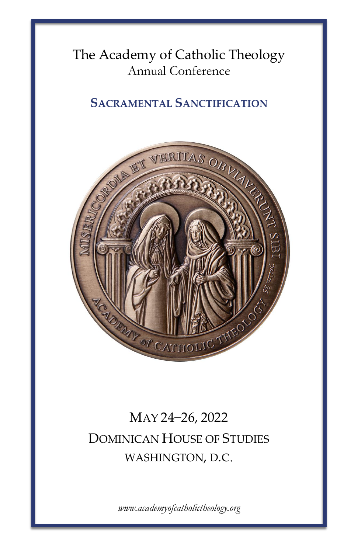## The Academy of Catholic Theology Annual Conference

### **SACRAMENTAL SANCTIFICATION**



# MAY 24–26, 2022 DOMINICAN HOUSE OF STUDIES WASHINGTON, D.C.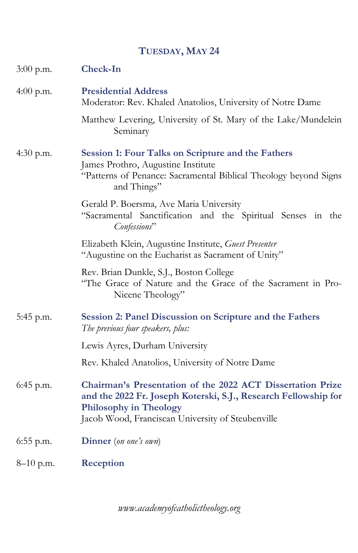### **TUESDAY, MAY 24**

| 3:00 p.m.   | Check-In                                                                                                                                                                                                            |
|-------------|---------------------------------------------------------------------------------------------------------------------------------------------------------------------------------------------------------------------|
| 4:00 p.m.   | <b>Presidential Address</b><br>Moderator: Rev. Khaled Anatolios, University of Notre Dame                                                                                                                           |
|             | Matthew Levering, University of St. Mary of the Lake/Mundelein<br>Seminary                                                                                                                                          |
| 4:30 p.m.   | Session 1: Four Talks on Scripture and the Fathers<br>James Prothro, Augustine Institute<br>"Patterns of Penance: Sacramental Biblical Theology beyond Signs<br>and Things"                                         |
|             | Gerald P. Boersma, Ave Maria University<br>"Sacramental Sanctification and the Spiritual Senses in the<br>Confessions"                                                                                              |
|             | Elizabeth Klein, Augustine Institute, Guest Presenter<br>"Augustine on the Eucharist as Sacrament of Unity"                                                                                                         |
|             | Rev. Brian Dunkle, S.J., Boston College<br>"The Grace of Nature and the Grace of the Sacrament in Pro-<br>Nicene Theology"                                                                                          |
| 5:45 p.m.   | Session 2: Panel Discussion on Scripture and the Fathers<br>The previous four speakers, plus:                                                                                                                       |
|             | Lewis Ayres, Durham University                                                                                                                                                                                      |
|             | Rev. Khaled Anatolios, University of Notre Dame                                                                                                                                                                     |
| $6:45$ p.m. | Chairman's Presentation of the 2022 ACT Dissertation Prize<br>and the 2022 Fr. Joseph Koterski, S.J., Research Fellowship for<br><b>Philosophy in Theology</b><br>Jacob Wood, Franciscan University of Steubenville |
| $6:55$ p.m. | <b>Dinner</b> (on one's own)                                                                                                                                                                                        |
| $8-10$ p.m. | Reception                                                                                                                                                                                                           |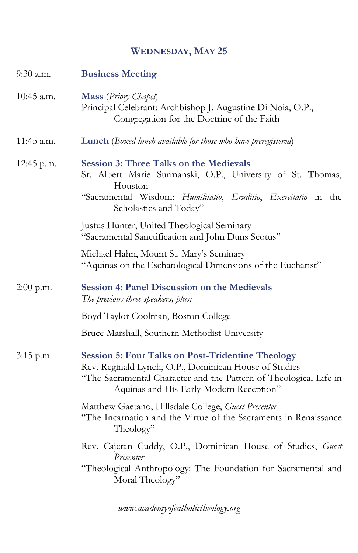#### **WEDNESDAY, MAY 25**

| 9:30 a.m.    | <b>Business Meeting</b>                                                                                                                                                                                                           |
|--------------|-----------------------------------------------------------------------------------------------------------------------------------------------------------------------------------------------------------------------------------|
| $10:45$ a.m. | Mass (Priory Chapel)<br>Principal Celebrant: Archbishop J. Augustine Di Noia, O.P.,<br>Congregation for the Doctrine of the Faith                                                                                                 |
| 11:45 a.m.   | <b>Lunch</b> (Boxed lunch available for those who have preregistered)                                                                                                                                                             |
| 12:45 p.m.   | <b>Session 3: Three Talks on the Medievals</b><br>Sr. Albert Marie Surmanski, O.P., University of St. Thomas,<br>Houston<br>"Sacramental Wisdom: Humilitatio, Eruditio, Exercitatio in the<br>Scholastics and Today"              |
|              | Justus Hunter, United Theological Seminary<br>"Sacramental Sanctification and John Duns Scotus"                                                                                                                                   |
|              | Michael Hahn, Mount St. Mary's Seminary<br>"Aquinas on the Eschatological Dimensions of the Eucharist"                                                                                                                            |
| $2:00$ p.m.  | <b>Session 4: Panel Discussion on the Medievals</b><br>The previous three speakers, plus:                                                                                                                                         |
|              | Boyd Taylor Coolman, Boston College                                                                                                                                                                                               |
|              | Bruce Marshall, Southern Methodist University                                                                                                                                                                                     |
| $3:15$ p.m.  | <b>Session 5: Four Talks on Post-Tridentine Theology</b><br>Rev. Reginald Lynch, O.P., Dominican House of Studies<br>"The Sacramental Character and the Pattern of Theological Life in<br>Aquinas and His Early-Modern Reception" |
|              | Matthew Gaetano, Hillsdale College, Guest Presenter<br>"The Incarnation and the Virtue of the Sacraments in Renaissance<br>Theology"                                                                                              |
|              | Rev. Cajetan Cuddy, O.P., Dominican House of Studies, Guest<br>Presenter                                                                                                                                                          |
|              | "Theological Anthropology: The Foundation for Sacramental and<br>Moral Theology"                                                                                                                                                  |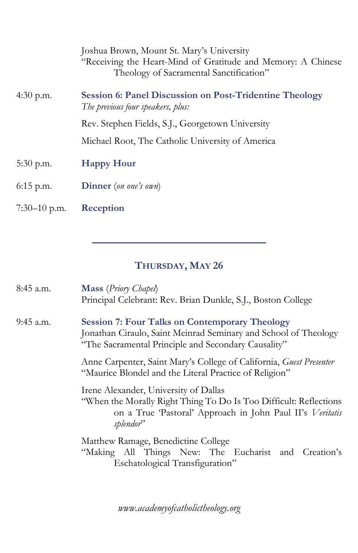|                | Joshua Brown, Mount St. Mary's University<br>"Receiving the Heart-Mind of Gratitude and Memory: A Chinese<br>Theology of Sacramental Sanctification" |
|----------------|------------------------------------------------------------------------------------------------------------------------------------------------------|
| 4:30 p.m.      | <b>Session 6: Panel Discussion on Post-Tridentine Theology</b><br>The previous four speakers, plus:                                                  |
|                | Rev. Stephen Fields, S.J., Georgetown University                                                                                                     |
|                | Michael Root, The Catholic University of America                                                                                                     |
| $5:30$ p.m.    | <b>Happy Hour</b>                                                                                                                                    |
| $6:15$ p.m.    | <b>Dinner</b> (on one's own)                                                                                                                         |
| $7:30-10$ p.m. | Reception                                                                                                                                            |

## **THURSDAY, MAY 26**

**————————————————**

| 8:45 a.m.   | Mass (Priory Chapel)<br>Principal Celebrant: Rev. Brian Dunkle, S.J., Boston College                                                                                                             |
|-------------|--------------------------------------------------------------------------------------------------------------------------------------------------------------------------------------------------|
| $9:45$ a.m. | <b>Session 7: Four Talks on Contemporary Theology</b><br>Jonathan Ciraulo, Saint Meinrad Seminary and School of Theology<br>"The Sacramental Principle and Secondary Causality"                  |
|             | Anne Carpenter, Saint Mary's College of California, Guest Presenter<br>"Maurice Blondel and the Literal Practice of Religion"                                                                    |
|             | Irene Alexander, University of Dallas<br>"When the Morally Right Thing To Do Is Too Difficult: Reflections<br>on a True 'Pastoral' Approach in John Paul II's Veritatis<br>splendor <sup>?</sup> |
|             | Matthew Ramage, Benedictine College<br>"Making All Things New: The Eucharist and Creation's<br>Eschatological Transfiguration"                                                                   |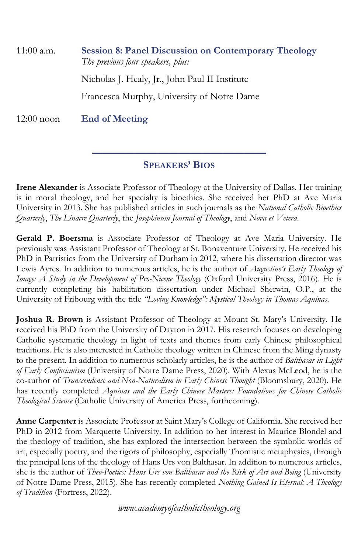| $11:00$ a.m. | <b>Session 8: Panel Discussion on Contemporary Theology</b><br>The previous four speakers, plus: |
|--------------|--------------------------------------------------------------------------------------------------|
|              | Nicholas J. Healy, Jr., John Paul II Institute                                                   |
|              | Francesca Murphy, University of Notre Dame                                                       |
| $12:00$ noon | <b>End of Meeting</b>                                                                            |

#### **———————————————— SPEAKERS' BIOS**

**Irene Alexander** is Associate Professor of Theology at the University of Dallas. Her training is in moral theology, and her specialty is bioethics. She received her PhD at Ave Maria University in 2013. She has published articles in such journals as the *National Catholic Bioethics Quarterly*, *The Linacre Quarterly*, the *Josephinum Journal of Theology*, and *Nova et Vetera*.

**Gerald P. Boersma** is Associate Professor of Theology at Ave Maria University. He previously was Assistant Professor of Theology at St. Bonaventure University. He received his PhD in Patristics from the University of Durham in 2012, where his dissertation director was Lewis Ayres. In addition to numerous articles, he is the author of *Augustine's Early Theology of Image: A Study in the Development of Pro-Nicene Theology* (Oxford University Press, 2016). He is currently completing his habilitation dissertation under Michael Sherwin, O.P., at the University of Fribourg with the title *"Loving Knowledge": Mystical Theology in Thomas Aquinas*.

**Joshua R. Brown** is Assistant Professor of Theology at Mount St. Mary's University. He received his PhD from the University of Dayton in 2017. His research focuses on developing Catholic systematic theology in light of texts and themes from early Chinese philosophical traditions. He is also interested in Catholic theology written in Chinese from the Ming dynasty to the present. In addition to numerous scholarly articles, he is the author of *Balthasar in Light of Early Confucianism* (University of Notre Dame Press, 2020). With Alexus McLeod, he is the co-author of *Transcendence and Non-Naturalism in Early Chinese Thought* (Bloomsbury, 2020). He has recently completed *Aquinas and the Early Chinese Masters: Foundations for Chinese Catholic Theological Science* (Catholic University of America Press, forthcoming).

**Anne Carpenter** is Associate Professor at Saint Mary's College of California. She received her PhD in 2012 from Marquette University. In addition to her interest in Maurice Blondel and the theology of tradition, she has explored the intersection between the symbolic worlds of art, especially poetry, and the rigors of philosophy, especially Thomistic metaphysics, through the principal lens of the theology of Hans Urs von Balthasar. In addition to numerous articles, she is the author of *Theo-Poetics: Hans Urs von Balthasar and the Risk of Art and Being* (University of Notre Dame Press, 2015). She has recently completed *Nothing Gained Is Eternal: A Theology of Tradition* (Fortress, 2022).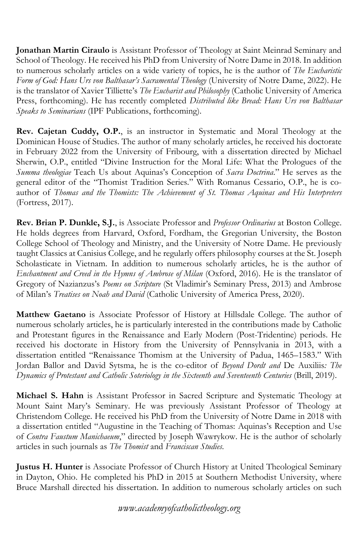**Jonathan Martin Ciraulo** is Assistant Professor of Theology at Saint Meinrad Seminary and School of Theology. He received his PhD from University of Notre Dame in 2018. In addition to numerous scholarly articles on a wide variety of topics, he is the author of *The Eucharistic Form of God: Hans Urs von Balthasar's Sacramental Theology* (University of Notre Dame, 2022). He is the translator of Xavier Tilliette's *The Eucharist and Philosophy* (Catholic University of America Press, forthcoming). He has recently completed *Distributed like Bread: Hans Urs von Balthasar Speaks to Seminarians* (IPF Publications, forthcoming).

**Rev. Cajetan Cuddy, O.P.**, is an instructor in Systematic and Moral Theology at the Dominican House of Studies. The author of many scholarly articles, he received his doctorate in February 2022 from the University of Fribourg, with a dissertation directed by Michael Sherwin, O.P., entitled "Divine Instruction for the Moral Life: What the Prologues of the *Summa theologiae* Teach Us about Aquinas's Conception of *Sacra Doctrina*." He serves as the general editor of the "Thomist Tradition Series." With Romanus Cessario, O.P., he is coauthor of *Thomas and the Thomists: The Achievement of St. Thomas Aquinas and His Interpreters* (Fortress, 2017).

**Rev. Brian P. Dunkle, S.J.**, is Associate Professor and *Professor Ordinarius* at Boston College. He holds degrees from Harvard, Oxford, Fordham, the Gregorian University, the Boston College School of Theology and Ministry, and the University of Notre Dame. He previously taught Classics at Canisius College, and he regularly offers philosophy courses at the St. Joseph Scholasticate in Vietnam. In addition to numerous scholarly articles, he is the author of *Enchantment and Creed in the Hymns of Ambrose of Milan* (Oxford, 2016). He is the translator of Gregory of Nazianzus's *Poems on Scripture* (St Vladimir's Seminary Press, 2013) and Ambrose of Milan's *Treatises on Noah and David* (Catholic University of America Press, 2020).

**Matthew Gaetano** is Associate Professor of History at Hillsdale College. The author of numerous scholarly articles, he is particularly interested in the contributions made by Catholic and Protestant figures in the Renaissance and Early Modern (Post-Tridentine) periods. He received his doctorate in History from the University of Pennsylvania in 2013, with a dissertation entitled "Renaissance Thomism at the University of Padua, 1465–1583." With Jordan Ballor and David Sytsma, he is the co-editor of *Beyond Dordt and* De Auxiliis*: The Dynamics of Protestant and Catholic Soteriology in the Sixteenth and Seventeenth Centuries* (Brill, 2019).

**Michael S. Hahn** is Assistant Professor in Sacred Scripture and Systematic Theology at Mount Saint Mary's Seminary. He was previously Assistant Professor of Theology at Christendom College. He received his PhD from the University of Notre Dame in 2018 with a dissertation entitled "Augustine in the Teaching of Thomas: Aquinas's Reception and Use of *Contra Faustum Manichaeum*," directed by Joseph Wawrykow. He is the author of scholarly articles in such journals as *The Thomist* and *Franciscan Studies*.

**Justus H. Hunter** is Associate Professor of Church History at United Theological Seminary in Dayton, Ohio. He completed his PhD in 2015 at Southern Methodist University, where Bruce Marshall directed his dissertation. In addition to numerous scholarly articles on such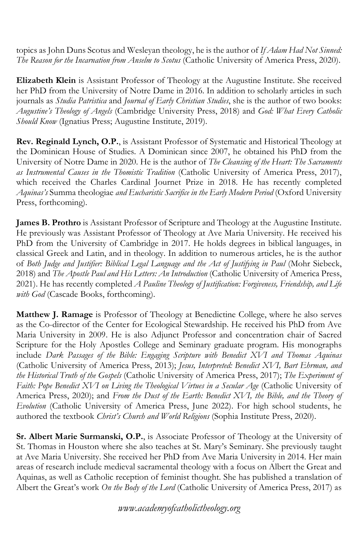topics as John Duns Scotus and Wesleyan theology, he is the author of *If Adam Had Not Sinned: The Reason for the Incarnation from Anselm to Scotus* (Catholic University of America Press, 2020).

**Elizabeth Klein** is Assistant Professor of Theology at the Augustine Institute. She received her PhD from the University of Notre Dame in 2016. In addition to scholarly articles in such journals as *Studia Patristica* and *Journal of Early Christian Studies*, she is the author of two books: *Augustine's Theology of Angels* (Cambridge University Press, 2018) and *God: What Every Catholic Should Know* (Ignatius Press; Augustine Institute, 2019).

**Rev. Reginald Lynch, O.P.**, is Assistant Professor of Systematic and Historical Theology at the Dominican House of Studies. A Dominican since 2007, he obtained his PhD from the University of Notre Dame in 2020. He is the author of *The Cleansing of the Heart: The Sacraments as Instrumental Causes in the Thomistic Tradition* (Catholic University of America Press, 2017), which received the Charles Cardinal Journet Prize in 2018. He has recently completed *Aquinas's* Summa theologiae *and Eucharistic Sacrifice in the Early Modern Period* (Oxford University Press, forthcoming).

**James B. Prothro** is Assistant Professor of Scripture and Theology at the Augustine Institute. He previously was Assistant Professor of Theology at Ave Maria University. He received his PhD from the University of Cambridge in 2017. He holds degrees in biblical languages, in classical Greek and Latin, and in theology. In addition to numerous articles, he is the author of *Both Judge and Justifier: Biblical Legal Language and the Act of Justifying in Paul* (Mohr Siebeck, 2018) and *The Apostle Paul and His Letters: An Introduction* (Catholic University of America Press, 2021). He has recently completed *A Pauline Theology of Justification: Forgiveness, Friendship, and Life with God* (Cascade Books, forthcoming).

**Matthew J. Ramage** is Professor of Theology at Benedictine College, where he also serves as the Co-director of the Center for Ecological Stewardship. He received his PhD from Ave Maria University in 2009. He is also Adjunct Professor and concentration chair of Sacred Scripture for the Holy Apostles College and Seminary graduate program. His monographs include *Dark Passages of the Bible: Engaging Scripture with Benedict XVI and Thomas Aquinas* (Catholic University of America Press, 2013); *Jesus, Interpreted: Benedict XVI, Bart Ehrman, and the Historical Truth of the Gospels* (Catholic University of America Press, 2017); *The Experiment of Faith: Pope Benedict XVI on Living the Theological Virtues in a Secular Age* (Catholic University of America Press, 2020); and *From the Dust of the Earth: Benedict XVI, the Bible, and the Theory of Evolution* (Catholic University of America Press, June 2022). For high school students, he authored the textbook *Christ's Church and World Religions* (Sophia Institute Press, 2020).

**Sr. Albert Marie Surmanski, O.P.**, is Associate Professor of Theology at the University of St. Thomas in Houston where she also teaches at St. Mary's Seminary. She previously taught at Ave Maria University. She received her PhD from Ave Maria University in 2014. Her main areas of research include medieval sacramental theology with a focus on Albert the Great and Aquinas, as well as Catholic reception of feminist thought. She has published a translation of Albert the Great's work *On the Body of the Lord* (Catholic University of America Press, 2017) as